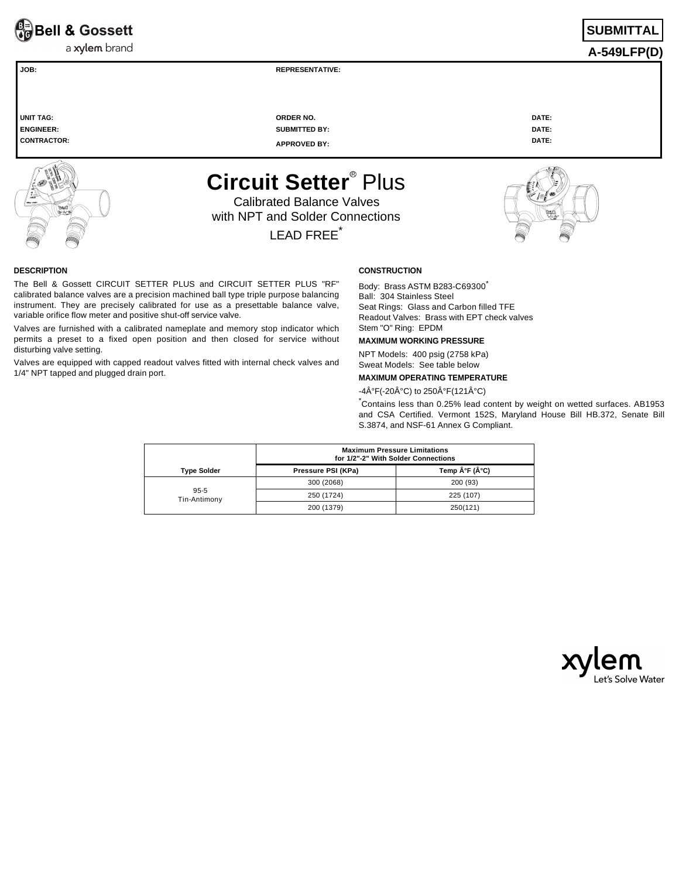**Ra**Bell & Gossett

a xylem brand

**A-549LFP(D) JOB: REPRESENTATIVE:** 

**UNIT TAG: ORDER NO. DATE: ENGINEER: SUBMITTED BY: DATE: CONTRACTOR: APPROVED BY: DATE:** 

**Circuit Setter<sup>®</sup> Plus** 

Calibrated Balance Valves with NPT and Solder Connections LEAD FREE<sup>\*</sup>

## **DESCRIPTION**

The Bell & Gossett CIRCUIT SETTER PLUS and CIRCUIT SETTER PLUS "RF" calibrated balance valves are a precision machined ball type triple purpose balancing instrument. They are precisely calibrated for use as a presettable balance valve, variable orifice flow meter and positive shut-off service valve.

Valves are furnished with a calibrated nameplate and memory stop indicator which permits a preset to a fixed open position and then closed for service without disturbing valve setting.

Valves are equipped with capped readout valves fitted with internal check valves and 1/4" NPT tapped and plugged drain port.

# **CONSTRUCTION**

Body: Brass ASTM B283-C69300 Ball: 304 Stainless Steel Seat Rings: Glass and Carbon filled TFE Readout Valves: Brass with EPT check valves Stem "O" Ring: EPDM

# **MAXIMUM WORKING PRESSURE**

NPT Models: 400 psig (2758 kPa) Sweat Models: See table below

# **MAXIMUM OPERATING TEMPERATURE**

 $-4\hat{A}^{\circ}F(-20\hat{A}^{\circ}C)$  to 250 $\hat{A}^{\circ}F(121\hat{A}^{\circ}C)$ 

\*Contains less than 0.25% lead content by weight on wetted surfaces. AB1953 and CSA Certified. Vermont 152S, Maryland House Bill HB.372, Senate Bill S.3874, and NSF-61 Annex G Compliant.

|                          | <b>Maximum Pressure Limitations</b><br>for 1/2"-2" With Solder Connections |              |  |  |  |
|--------------------------|----------------------------------------------------------------------------|--------------|--|--|--|
| <b>Type Solder</b>       | Pressure PSI (KPa)                                                         | Temp °F (°C) |  |  |  |
|                          | 300 (2068)                                                                 | 200 (93)     |  |  |  |
| $95 - 5$<br>Tin-Antimony | 250 (1724)                                                                 | 225 (107)    |  |  |  |
|                          | 200 (1379)                                                                 | 250(121)     |  |  |  |



# **SUBMITTA**



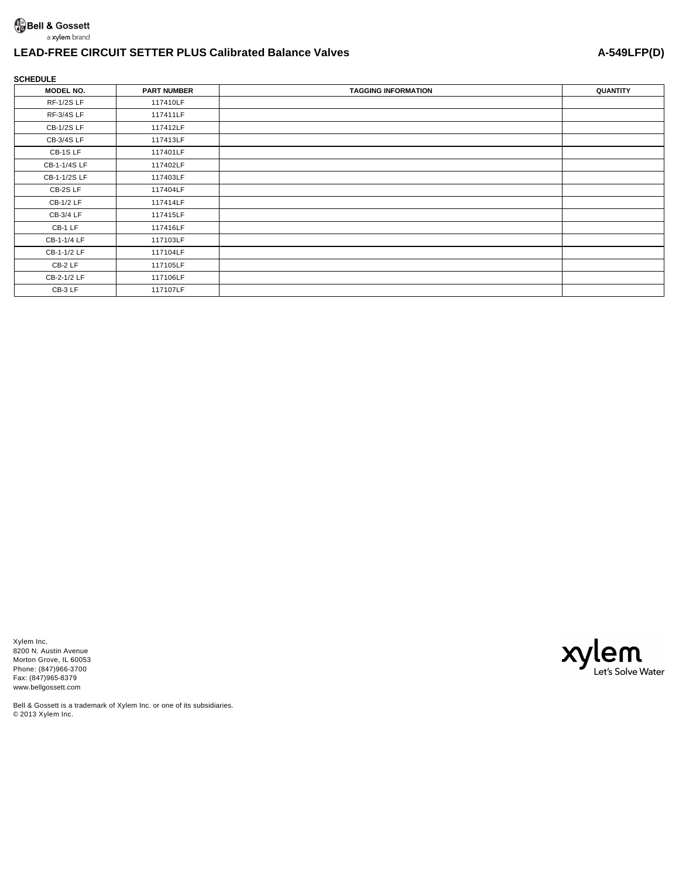# a xylem brand

# **LEAD-FREE CIRCUIT SETTER PLUS Calibrated Balance Valves A-549LFP(D)**

# **SCHEDULE**

| <b>MODEL NO.</b>  | <b>PART NUMBER</b> | <b>TAGGING INFORMATION</b> | <b>QUANTITY</b> |
|-------------------|--------------------|----------------------------|-----------------|
| <b>RF-1/2S LF</b> | 117410LF           |                            |                 |
| RF-3/4S LF        | 117411LF           |                            |                 |
| <b>CB-1/2S LF</b> | 117412LF           |                            |                 |
| CB-3/4S LF        | 117413LF           |                            |                 |
| CB-1SLF           | 117401LF           |                            |                 |
| CB-1-1/4S LF      | 117402LF           |                            |                 |
| CB-1-1/2S LF      | 117403LF           |                            |                 |
| CB-2S LF          | 117404LF           |                            |                 |
| CB-1/2 LF         | 117414LF           |                            |                 |
| CB-3/4 LF         | 117415LF           |                            |                 |
| CB-1 LF           | 117416LF           |                            |                 |
| CB-1-1/4 LF       | 117103LF           |                            |                 |
| CB-1-1/2 LF       | 117104LF           |                            |                 |
| CB-2 LF           | 117105LF           |                            |                 |
| CB-2-1/2 LF       | 117106LF           |                            |                 |
| CB-3 LF           | 117107LF           |                            |                 |

Xylem Inc. 8200 N. Austin Avenue Morton Grove, IL 60053 Phone: (847)966-3700 Fax: (847)965-8379 www.bellgossett.com



Bell & Gossett is a trademark of Xylem Inc. or one of its subsidiaries. © 2013 Xylem Inc.